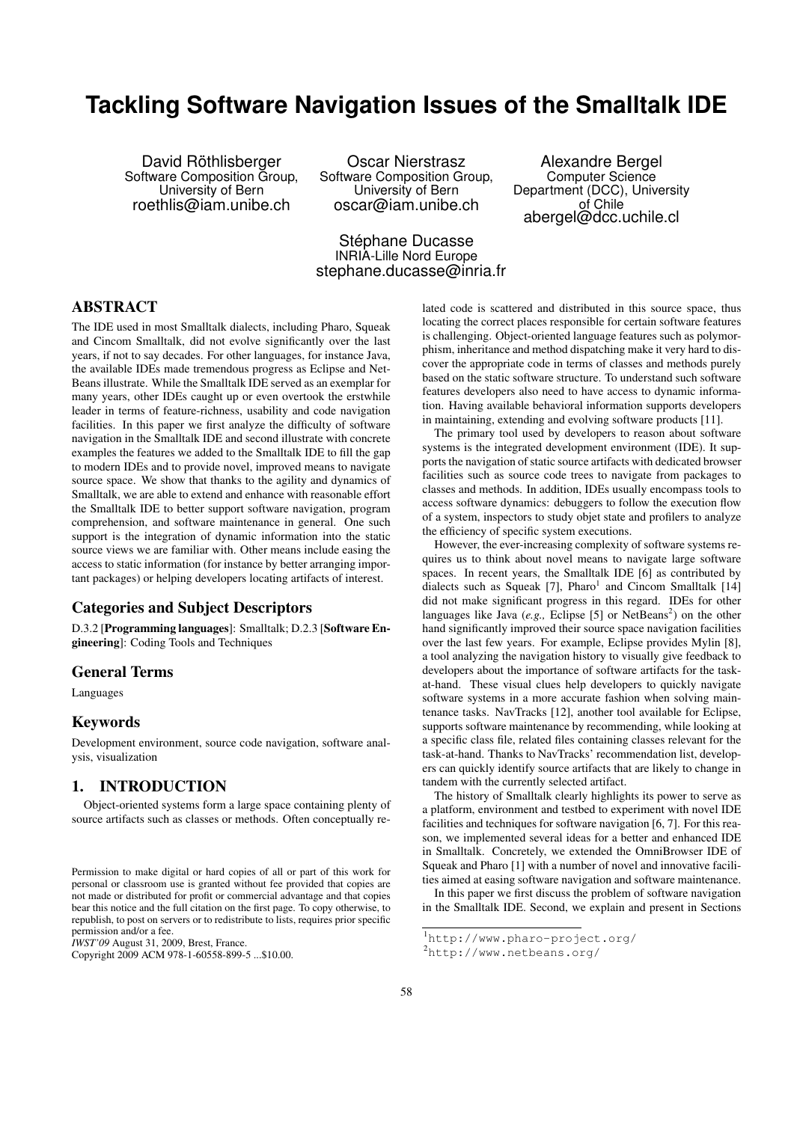# **Tackling Software Navigation Issues of the Smalltalk IDE**

David Röthlisberger Software Composition Group, University of Bern roethlis@iam.unibe.ch

Oscar Nierstrasz Software Composition Group, University of Bern oscar@iam.unibe.ch

Alexandre Bergel Computer Science Department (DCC), University of Chile abergel@dcc.uchile.cl

Stéphane Ducasse INRIA-Lille Nord Europe stephane.ducasse@inria.fr

### ABSTRACT

The IDE used in most Smalltalk dialects, including Pharo, Squeak and Cincom Smalltalk, did not evolve significantly over the last years, if not to say decades. For other languages, for instance Java, the available IDEs made tremendous progress as Eclipse and Net-Beans illustrate. While the Smalltalk IDE served as an exemplar for many years, other IDEs caught up or even overtook the erstwhile leader in terms of feature-richness, usability and code navigation facilities. In this paper we first analyze the difficulty of software navigation in the Smalltalk IDE and second illustrate with concrete examples the features we added to the Smalltalk IDE to fill the gap to modern IDEs and to provide novel, improved means to navigate source space. We show that thanks to the agility and dynamics of Smalltalk, we are able to extend and enhance with reasonable effort the Smalltalk IDE to better support software navigation, program comprehension, and software maintenance in general. One such support is the integration of dynamic information into the static source views we are familiar with. Other means include easing the access to static information (for instance by better arranging important packages) or helping developers locating artifacts of interest.

### Categories and Subject Descriptors

D.3.2 [Programming languages]: Smalltalk; D.2.3 [Software Engineering]: Coding Tools and Techniques

#### General Terms

Languages

#### Keywords

Development environment, source code navigation, software analysis, visualization

# 1. INTRODUCTION

Object-oriented systems form a large space containing plenty of source artifacts such as classes or methods. Often conceptually re-

*IWST'09* August 31, 2009, Brest, France.

lated code is scattered and distributed in this source space, thus locating the correct places responsible for certain software features is challenging. Object-oriented language features such as polymorphism, inheritance and method dispatching make it very hard to discover the appropriate code in terms of classes and methods purely based on the static software structure. To understand such software features developers also need to have access to dynamic information. Having available behavioral information supports developers in maintaining, extending and evolving software products [11].

The primary tool used by developers to reason about software systems is the integrated development environment (IDE). It supports the navigation of static source artifacts with dedicated browser facilities such as source code trees to navigate from packages to classes and methods. In addition, IDEs usually encompass tools to access software dynamics: debuggers to follow the execution flow of a system, inspectors to study objet state and profilers to analyze the efficiency of specific system executions.

However, the ever-increasing complexity of software systems requires us to think about novel means to navigate large software spaces. In recent years, the Smalltalk IDE [6] as contributed by dialects such as Squeak [7],  $Pharo<sup>1</sup>$  and Cincom Smalltalk [14] did not make significant progress in this regard. IDEs for other languages like Java (e.g., Eclipse [5] or NetBeans<sup>2</sup>) on the other hand significantly improved their source space navigation facilities over the last few years. For example, Eclipse provides Mylin [8], a tool analyzing the navigation history to visually give feedback to developers about the importance of software artifacts for the taskat-hand. These visual clues help developers to quickly navigate software systems in a more accurate fashion when solving maintenance tasks. NavTracks [12], another tool available for Eclipse, supports software maintenance by recommending, while looking at a specific class file, related files containing classes relevant for the task-at-hand. Thanks to NavTracks' recommendation list, developers can quickly identify source artifacts that are likely to change in tandem with the currently selected artifact.

The history of Smalltalk clearly highlights its power to serve as a platform, environment and testbed to experiment with novel IDE facilities and techniques for software navigation [6, 7]. For this reason, we implemented several ideas for a better and enhanced IDE in Smalltalk. Concretely, we extended the OmniBrowser IDE of Squeak and Pharo [1] with a number of novel and innovative facilities aimed at easing software navigation and software maintenance.

In this paper we first discuss the problem of software navigation in the Smalltalk IDE. Second, we explain and present in Sections

Permission to make digital or hard copies of all or part of this work for personal or classroom use is granted without fee provided that copies are not made or distributed for profit or commercial advantage and that copies bear this notice and the full citation on the first page. To copy otherwise, to republish, to post on servers or to redistribute to lists, requires prior specific permission and/or a fee.

Copyright 2009 ACM 978-1-60558-899-5 ...\$10.00.

<sup>1</sup>http://www.pharo-project.org/

<sup>2</sup>http://www.netbeans.org/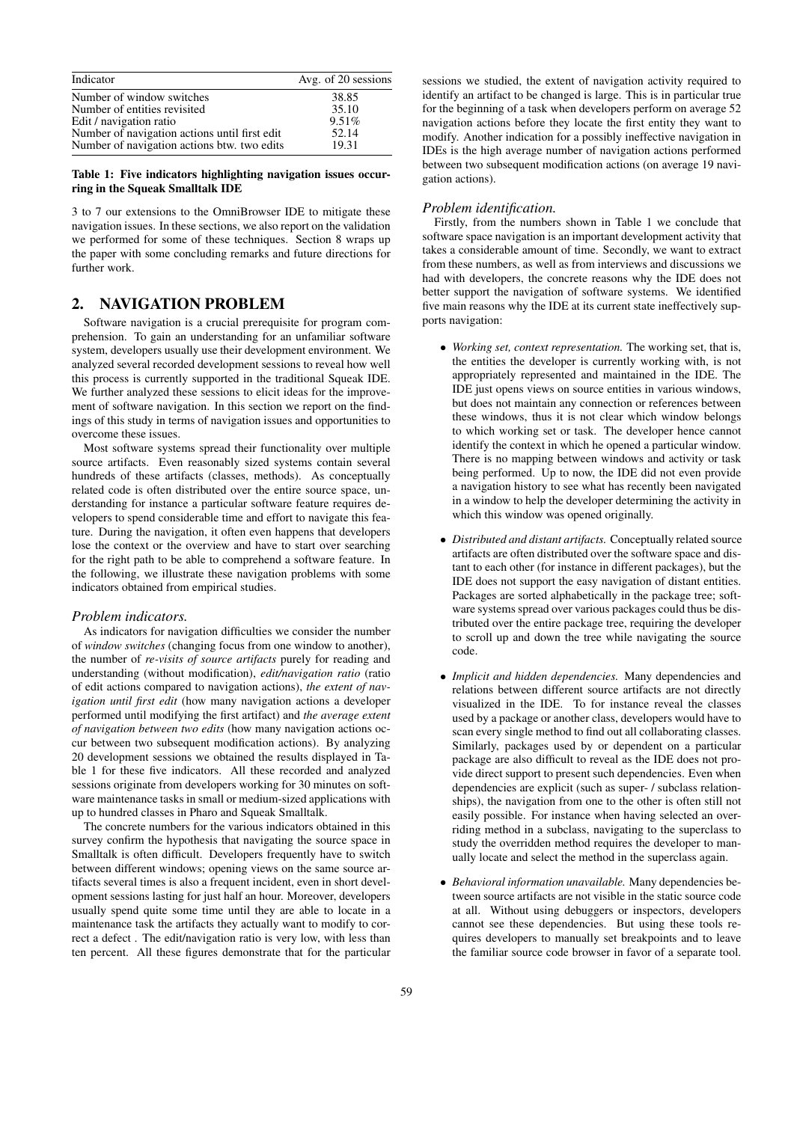| Indicator                                     | Avg. of 20 sessions |
|-----------------------------------------------|---------------------|
| Number of window switches                     | 38.85               |
| Number of entities revisited                  | 35.10               |
| Edit / navigation ratio                       | 9.51%               |
| Number of navigation actions until first edit | 52.14               |
| Number of navigation actions btw. two edits   | 19.31               |

Table 1: Five indicators highlighting navigation issues occurring in the Squeak Smalltalk IDE

3 to 7 our extensions to the OmniBrowser IDE to mitigate these navigation issues. In these sections, we also report on the validation we performed for some of these techniques. Section 8 wraps up the paper with some concluding remarks and future directions for further work.

# 2. NAVIGATION PROBLEM

Software navigation is a crucial prerequisite for program comprehension. To gain an understanding for an unfamiliar software system, developers usually use their development environment. We analyzed several recorded development sessions to reveal how well this process is currently supported in the traditional Squeak IDE. We further analyzed these sessions to elicit ideas for the improvement of software navigation. In this section we report on the findings of this study in terms of navigation issues and opportunities to overcome these issues.

Most software systems spread their functionality over multiple source artifacts. Even reasonably sized systems contain several hundreds of these artifacts (classes, methods). As conceptually related code is often distributed over the entire source space, understanding for instance a particular software feature requires developers to spend considerable time and effort to navigate this feature. During the navigation, it often even happens that developers lose the context or the overview and have to start over searching for the right path to be able to comprehend a software feature. In the following, we illustrate these navigation problems with some indicators obtained from empirical studies.

#### *Problem indicators.*

As indicators for navigation difficulties we consider the number of *window switches* (changing focus from one window to another), the number of *re-visits of source artifacts* purely for reading and understanding (without modification), *edit/navigation ratio* (ratio of edit actions compared to navigation actions), *the extent of navigation until first edit* (how many navigation actions a developer performed until modifying the first artifact) and *the average extent of navigation between two edits* (how many navigation actions occur between two subsequent modification actions). By analyzing 20 development sessions we obtained the results displayed in Table 1 for these five indicators. All these recorded and analyzed sessions originate from developers working for 30 minutes on software maintenance tasks in small or medium-sized applications with up to hundred classes in Pharo and Squeak Smalltalk.

The concrete numbers for the various indicators obtained in this survey confirm the hypothesis that navigating the source space in Smalltalk is often difficult. Developers frequently have to switch between different windows; opening views on the same source artifacts several times is also a frequent incident, even in short development sessions lasting for just half an hour. Moreover, developers usually spend quite some time until they are able to locate in a maintenance task the artifacts they actually want to modify to correct a defect . The edit/navigation ratio is very low, with less than ten percent. All these figures demonstrate that for the particular

sessions we studied, the extent of navigation activity required to identify an artifact to be changed is large. This is in particular true for the beginning of a task when developers perform on average 52 navigation actions before they locate the first entity they want to modify. Another indication for a possibly ineffective navigation in IDEs is the high average number of navigation actions performed between two subsequent modification actions (on average 19 navigation actions).

#### *Problem identification.*

Firstly, from the numbers shown in Table 1 we conclude that software space navigation is an important development activity that takes a considerable amount of time. Secondly, we want to extract from these numbers, as well as from interviews and discussions we had with developers, the concrete reasons why the IDE does not better support the navigation of software systems. We identified five main reasons why the IDE at its current state ineffectively supports navigation:

- *Working set, context representation.* The working set, that is, the entities the developer is currently working with, is not appropriately represented and maintained in the IDE. The IDE just opens views on source entities in various windows, but does not maintain any connection or references between these windows, thus it is not clear which window belongs to which working set or task. The developer hence cannot identify the context in which he opened a particular window. There is no mapping between windows and activity or task being performed. Up to now, the IDE did not even provide a navigation history to see what has recently been navigated in a window to help the developer determining the activity in which this window was opened originally.
- *Distributed and distant artifacts.* Conceptually related source artifacts are often distributed over the software space and distant to each other (for instance in different packages), but the IDE does not support the easy navigation of distant entities. Packages are sorted alphabetically in the package tree; software systems spread over various packages could thus be distributed over the entire package tree, requiring the developer to scroll up and down the tree while navigating the source code.
- *Implicit and hidden dependencies.* Many dependencies and relations between different source artifacts are not directly visualized in the IDE. To for instance reveal the classes used by a package or another class, developers would have to scan every single method to find out all collaborating classes. Similarly, packages used by or dependent on a particular package are also difficult to reveal as the IDE does not provide direct support to present such dependencies. Even when dependencies are explicit (such as super- / subclass relationships), the navigation from one to the other is often still not easily possible. For instance when having selected an overriding method in a subclass, navigating to the superclass to study the overridden method requires the developer to manually locate and select the method in the superclass again.
- *Behavioral information unavailable.* Many dependencies between source artifacts are not visible in the static source code at all. Without using debuggers or inspectors, developers cannot see these dependencies. But using these tools requires developers to manually set breakpoints and to leave the familiar source code browser in favor of a separate tool.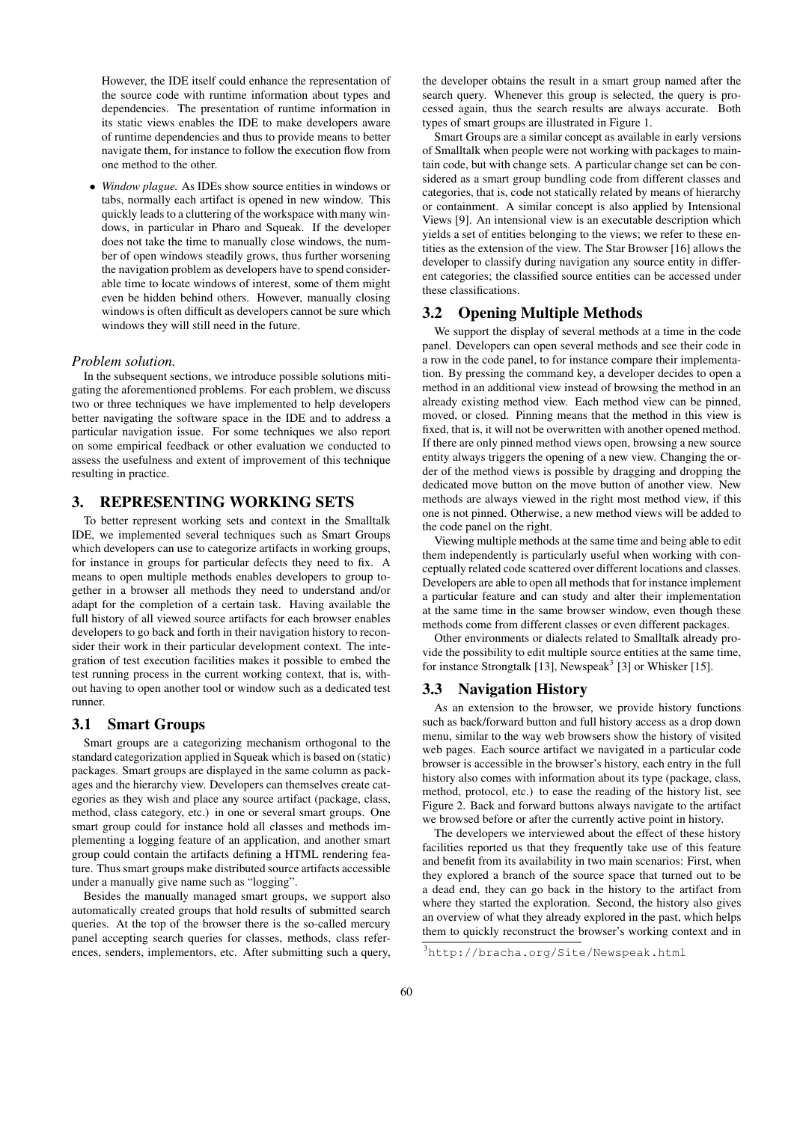However, the IDE itself could enhance the representation of the source code with runtime information about types and dependencies. The presentation of runtime information in its static views enables the IDE to make developers aware of runtime dependencies and thus to provide means to better navigate them, for instance to follow the execution flow from one method to the other.

• *Window plague.* As IDEs show source entities in windows or tabs, normally each artifact is opened in new window. This quickly leads to a cluttering of the workspace with many windows, in particular in Pharo and Squeak. If the developer does not take the time to manually close windows, the number of open windows steadily grows, thus further worsening the navigation problem as developers have to spend considerable time to locate windows of interest, some of them might even be hidden behind others. However, manually closing windows is often difficult as developers cannot be sure which windows they will still need in the future.

#### *Problem solution.*

In the subsequent sections, we introduce possible solutions mitigating the aforementioned problems. For each problem, we discuss two or three techniques we have implemented to help developers better navigating the software space in the IDE and to address a particular navigation issue. For some techniques we also report on some empirical feedback or other evaluation we conducted to assess the usefulness and extent of improvement of this technique resulting in practice.

# 3. REPRESENTING WORKING SETS

To better represent working sets and context in the Smalltalk IDE, we implemented several techniques such as Smart Groups which developers can use to categorize artifacts in working groups, for instance in groups for particular defects they need to fix. A means to open multiple methods enables developers to group together in a browser all methods they need to understand and/or adapt for the completion of a certain task. Having available the full history of all viewed source artifacts for each browser enables developers to go back and forth in their navigation history to reconsider their work in their particular development context. The integration of test execution facilities makes it possible to embed the test running process in the current working context, that is, without having to open another tool or window such as a dedicated test runner.

#### 3.1 Smart Groups

Smart groups are a categorizing mechanism orthogonal to the standard categorization applied in Squeak which is based on (static) packages. Smart groups are displayed in the same column as packages and the hierarchy view. Developers can themselves create categories as they wish and place any source artifact (package, class, method, class category, etc.) in one or several smart groups. One smart group could for instance hold all classes and methods implementing a logging feature of an application, and another smart group could contain the artifacts defining a HTML rendering feature. Thus smart groups make distributed source artifacts accessible under a manually give name such as "logging".

Besides the manually managed smart groups, we support also automatically created groups that hold results of submitted search queries. At the top of the browser there is the so-called mercury panel accepting search queries for classes, methods, class references, senders, implementors, etc. After submitting such a query,

the developer obtains the result in a smart group named after the search query. Whenever this group is selected, the query is processed again, thus the search results are always accurate. Both types of smart groups are illustrated in Figure 1.

Smart Groups are a similar concept as available in early versions of Smalltalk when people were not working with packages to maintain code, but with change sets. A particular change set can be considered as a smart group bundling code from different classes and categories, that is, code not statically related by means of hierarchy or containment. A similar concept is also applied by Intensional Views [9]. An intensional view is an executable description which yields a set of entities belonging to the views; we refer to these entities as the extension of the view. The Star Browser [16] allows the developer to classify during navigation any source entity in different categories; the classified source entities can be accessed under these classifications.

## 3.2 Opening Multiple Methods

We support the display of several methods at a time in the code panel. Developers can open several methods and see their code in a row in the code panel, to for instance compare their implementation. By pressing the command key, a developer decides to open a method in an additional view instead of browsing the method in an already existing method view. Each method view can be pinned, moved, or closed. Pinning means that the method in this view is fixed, that is, it will not be overwritten with another opened method. If there are only pinned method views open, browsing a new source entity always triggers the opening of a new view. Changing the order of the method views is possible by dragging and dropping the dedicated move button on the move button of another view. New methods are always viewed in the right most method view, if this one is not pinned. Otherwise, a new method views will be added to the code panel on the right.

Viewing multiple methods at the same time and being able to edit them independently is particularly useful when working with conceptually related code scattered over different locations and classes. Developers are able to open all methods that for instance implement a particular feature and can study and alter their implementation at the same time in the same browser window, even though these methods come from different classes or even different packages.

Other environments or dialects related to Smalltalk already provide the possibility to edit multiple source entities at the same time, for instance Strongtalk [13], Newspeak<sup>3</sup> [3] or Whisker [15].

#### 3.3 Navigation History

As an extension to the browser, we provide history functions such as back/forward button and full history access as a drop down menu, similar to the way web browsers show the history of visited web pages. Each source artifact we navigated in a particular code browser is accessible in the browser's history, each entry in the full history also comes with information about its type (package, class, method, protocol, etc.) to ease the reading of the history list, see Figure 2. Back and forward buttons always navigate to the artifact we browsed before or after the currently active point in history.

The developers we interviewed about the effect of these history facilities reported us that they frequently take use of this feature and benefit from its availability in two main scenarios: First, when they explored a branch of the source space that turned out to be a dead end, they can go back in the history to the artifact from where they started the exploration. Second, the history also gives an overview of what they already explored in the past, which helps them to quickly reconstruct the browser's working context and in

<sup>3</sup>http://bracha.org/Site/Newspeak.html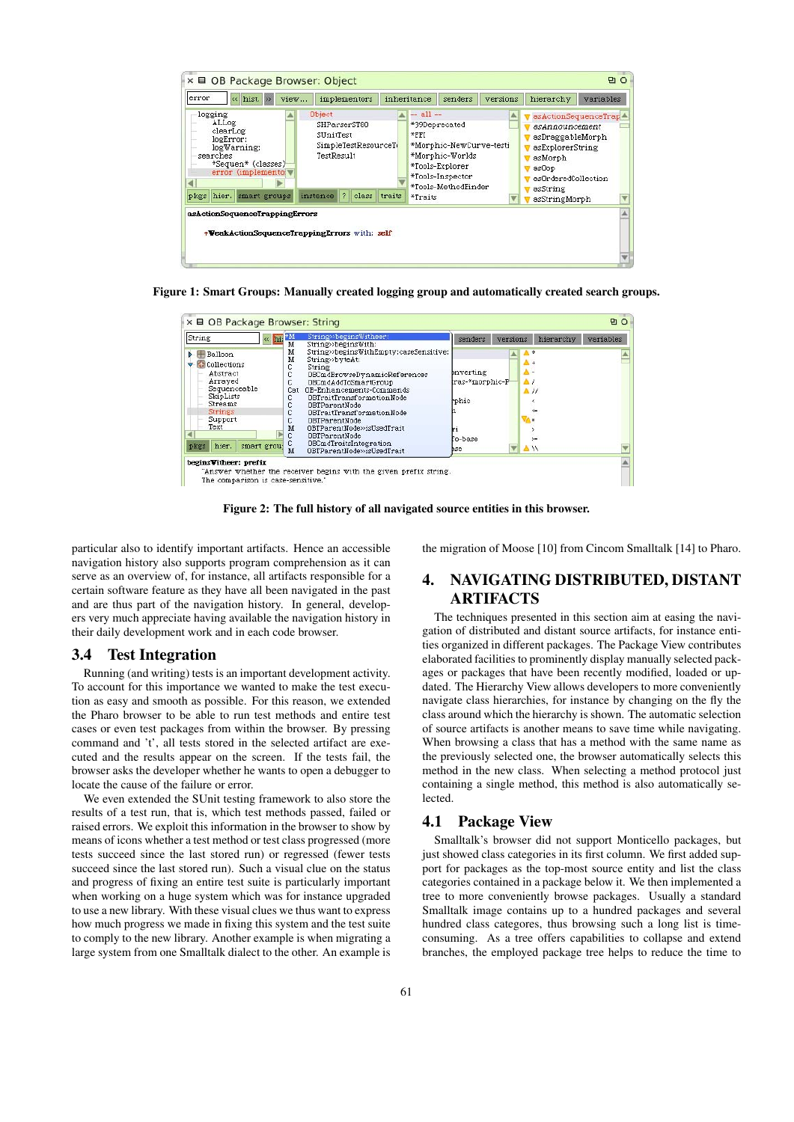

Figure 1: Smart Groups: Manually created logging group and automatically created search groups.

| $\ll$ hi: $^*$ M<br>String                                                                                                                                  | String>>beginsWitheer;<br>м<br>String»beginsWith:                                                                                                                                                                                                                                                                                                                                                                 | versions<br>senders                                    | hierarchy<br>variables                                                        |
|-------------------------------------------------------------------------------------------------------------------------------------------------------------|-------------------------------------------------------------------------------------------------------------------------------------------------------------------------------------------------------------------------------------------------------------------------------------------------------------------------------------------------------------------------------------------------------------------|--------------------------------------------------------|-------------------------------------------------------------------------------|
| Balloon<br><b>Collections</b><br>Abstract<br>Arraved<br>Sequenceable<br>SkipLists<br>Streams<br>Strings<br>Support.<br>Text<br>hier.<br>smart grou-<br>pkgs | м<br>String»beginsWithEmpty:caseSensitive:<br>м<br>String»byteAt:<br>C<br>String<br>Ć<br>OBCmdBrowseDynamicReferences<br>C<br>OBCmdAddToSmartGroup<br>OB-Enhancements-Commands<br>Cat<br>C<br>OBTraitTransformationNode<br>С<br>OBTParentNode<br>OBTraitTransformationNode<br>OBTParentNode<br>M<br>OBTParentNode>>isUsedTrait<br>с<br>OBTParentNode<br>OBCmdTraitsIntegration<br>OBTParentNode>>isUsedTrait<br>M | bnverting<br>tras-*morphic-P<br>rphic<br>o-base<br>hse | Δ-<br>$\Delta$<br>$\Delta$ //<br>$\left\langle =\right\rangle$<br>$>=$<br>∥ ∆ |

Figure 2: The full history of all navigated source entities in this browser.

particular also to identify important artifacts. Hence an accessible navigation history also supports program comprehension as it can serve as an overview of, for instance, all artifacts responsible for a certain software feature as they have all been navigated in the past and are thus part of the navigation history. In general, developers very much appreciate having available the navigation history in their daily development work and in each code browser.

#### 3.4 Test Integration

Running (and writing) tests is an important development activity. To account for this importance we wanted to make the test execution as easy and smooth as possible. For this reason, we extended the Pharo browser to be able to run test methods and entire test cases or even test packages from within the browser. By pressing command and 't', all tests stored in the selected artifact are executed and the results appear on the screen. If the tests fail, the browser asks the developer whether he wants to open a debugger to locate the cause of the failure or error.

We even extended the SUnit testing framework to also store the results of a test run, that is, which test methods passed, failed or raised errors. We exploit this information in the browser to show by means of icons whether a test method or test class progressed (more tests succeed since the last stored run) or regressed (fewer tests succeed since the last stored run). Such a visual clue on the status and progress of fixing an entire test suite is particularly important when working on a huge system which was for instance upgraded to use a new library. With these visual clues we thus want to express how much progress we made in fixing this system and the test suite to comply to the new library. Another example is when migrating a large system from one Smalltalk dialect to the other. An example is the migration of Moose [10] from Cincom Smalltalk [14] to Pharo.

# 4. NAVIGATING DISTRIBUTED, DISTANT **ARTIFACTS**

The techniques presented in this section aim at easing the navigation of distributed and distant source artifacts, for instance entities organized in different packages. The Package View contributes elaborated facilities to prominently display manually selected packages or packages that have been recently modified, loaded or updated. The Hierarchy View allows developers to more conveniently navigate class hierarchies, for instance by changing on the fly the class around which the hierarchy is shown. The automatic selection of source artifacts is another means to save time while navigating. When browsing a class that has a method with the same name as the previously selected one, the browser automatically selects this method in the new class. When selecting a method protocol just containing a single method, this method is also automatically selected.

# 4.1 Package View

Smalltalk's browser did not support Monticello packages, but just showed class categories in its first column. We first added support for packages as the top-most source entity and list the class categories contained in a package below it. We then implemented a tree to more conveniently browse packages. Usually a standard Smalltalk image contains up to a hundred packages and several hundred class categores, thus browsing such a long list is timeconsuming. As a tree offers capabilities to collapse and extend branches, the employed package tree helps to reduce the time to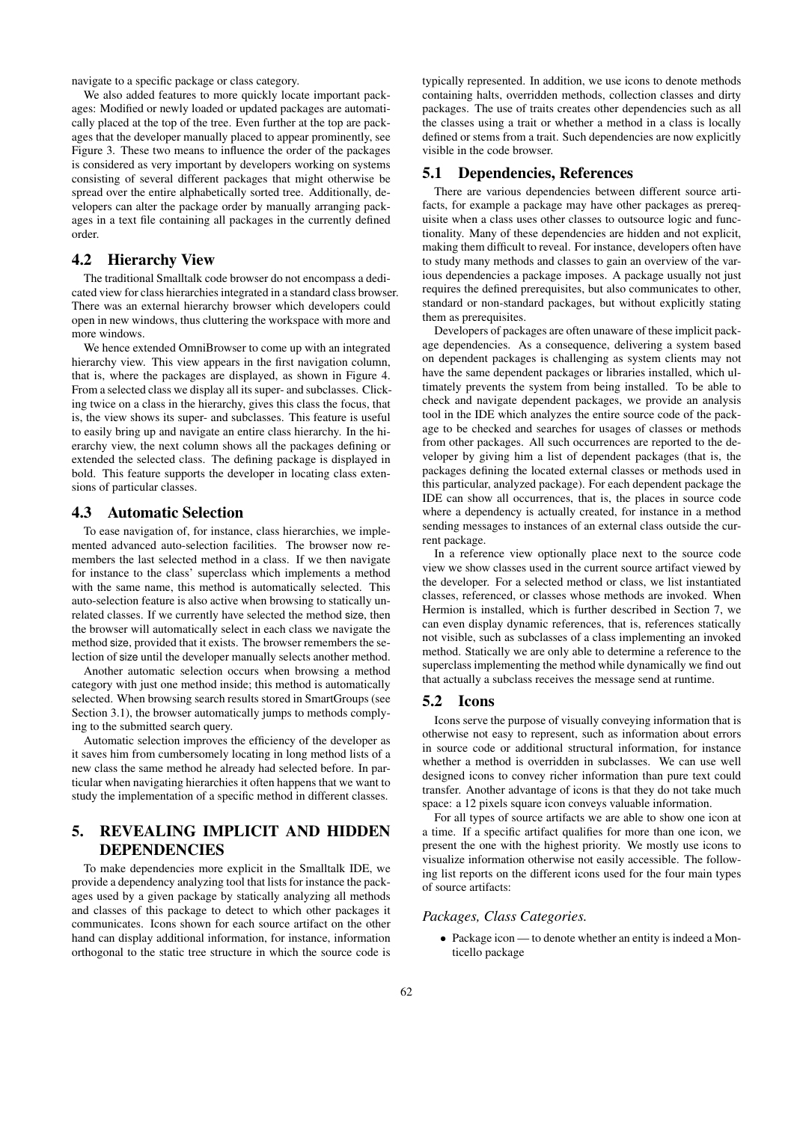navigate to a specific package or class category.

We also added features to more quickly locate important packages: Modified or newly loaded or updated packages are automatically placed at the top of the tree. Even further at the top are packages that the developer manually placed to appear prominently, see Figure 3. These two means to influence the order of the packages is considered as very important by developers working on systems consisting of several different packages that might otherwise be spread over the entire alphabetically sorted tree. Additionally, developers can alter the package order by manually arranging packages in a text file containing all packages in the currently defined order.

# 4.2 Hierarchy View

The traditional Smalltalk code browser do not encompass a dedicated view for class hierarchies integrated in a standard class browser. There was an external hierarchy browser which developers could open in new windows, thus cluttering the workspace with more and more windows.

We hence extended OmniBrowser to come up with an integrated hierarchy view. This view appears in the first navigation column, that is, where the packages are displayed, as shown in Figure 4. From a selected class we display all its super- and subclasses. Clicking twice on a class in the hierarchy, gives this class the focus, that is, the view shows its super- and subclasses. This feature is useful to easily bring up and navigate an entire class hierarchy. In the hierarchy view, the next column shows all the packages defining or extended the selected class. The defining package is displayed in bold. This feature supports the developer in locating class extensions of particular classes.

#### 4.3 Automatic Selection

To ease navigation of, for instance, class hierarchies, we implemented advanced auto-selection facilities. The browser now remembers the last selected method in a class. If we then navigate for instance to the class' superclass which implements a method with the same name, this method is automatically selected. This auto-selection feature is also active when browsing to statically unrelated classes. If we currently have selected the method size, then the browser will automatically select in each class we navigate the method size, provided that it exists. The browser remembers the selection of size until the developer manually selects another method.

Another automatic selection occurs when browsing a method category with just one method inside; this method is automatically selected. When browsing search results stored in SmartGroups (see Section 3.1), the browser automatically jumps to methods complying to the submitted search query.

Automatic selection improves the efficiency of the developer as it saves him from cumbersomely locating in long method lists of a new class the same method he already had selected before. In particular when navigating hierarchies it often happens that we want to study the implementation of a specific method in different classes.

# 5. REVEALING IMPLICIT AND HIDDEN DEPENDENCIES

To make dependencies more explicit in the Smalltalk IDE, we provide a dependency analyzing tool that lists for instance the packages used by a given package by statically analyzing all methods and classes of this package to detect to which other packages it communicates. Icons shown for each source artifact on the other hand can display additional information, for instance, information orthogonal to the static tree structure in which the source code is

typically represented. In addition, we use icons to denote methods containing halts, overridden methods, collection classes and dirty packages. The use of traits creates other dependencies such as all the classes using a trait or whether a method in a class is locally defined or stems from a trait. Such dependencies are now explicitly visible in the code browser.

# 5.1 Dependencies, References

There are various dependencies between different source artifacts, for example a package may have other packages as prerequisite when a class uses other classes to outsource logic and functionality. Many of these dependencies are hidden and not explicit, making them difficult to reveal. For instance, developers often have to study many methods and classes to gain an overview of the various dependencies a package imposes. A package usually not just requires the defined prerequisites, but also communicates to other, standard or non-standard packages, but without explicitly stating them as prerequisites.

Developers of packages are often unaware of these implicit package dependencies. As a consequence, delivering a system based on dependent packages is challenging as system clients may not have the same dependent packages or libraries installed, which ultimately prevents the system from being installed. To be able to check and navigate dependent packages, we provide an analysis tool in the IDE which analyzes the entire source code of the package to be checked and searches for usages of classes or methods from other packages. All such occurrences are reported to the developer by giving him a list of dependent packages (that is, the packages defining the located external classes or methods used in this particular, analyzed package). For each dependent package the IDE can show all occurrences, that is, the places in source code where a dependency is actually created, for instance in a method sending messages to instances of an external class outside the current package.

In a reference view optionally place next to the source code view we show classes used in the current source artifact viewed by the developer. For a selected method or class, we list instantiated classes, referenced, or classes whose methods are invoked. When Hermion is installed, which is further described in Section 7, we can even display dynamic references, that is, references statically not visible, such as subclasses of a class implementing an invoked method. Statically we are only able to determine a reference to the superclass implementing the method while dynamically we find out that actually a subclass receives the message send at runtime.

### 5.2 Icons

Icons serve the purpose of visually conveying information that is otherwise not easy to represent, such as information about errors in source code or additional structural information, for instance whether a method is overridden in subclasses. We can use well designed icons to convey richer information than pure text could transfer. Another advantage of icons is that they do not take much space: a 12 pixels square icon conveys valuable information.

For all types of source artifacts we are able to show one icon at a time. If a specific artifact qualifies for more than one icon, we present the one with the highest priority. We mostly use icons to visualize information otherwise not easily accessible. The following list reports on the different icons used for the four main types of source artifacts:

#### *Packages, Class Categories.*

• Package icon — to denote whether an entity is indeed a Monticello package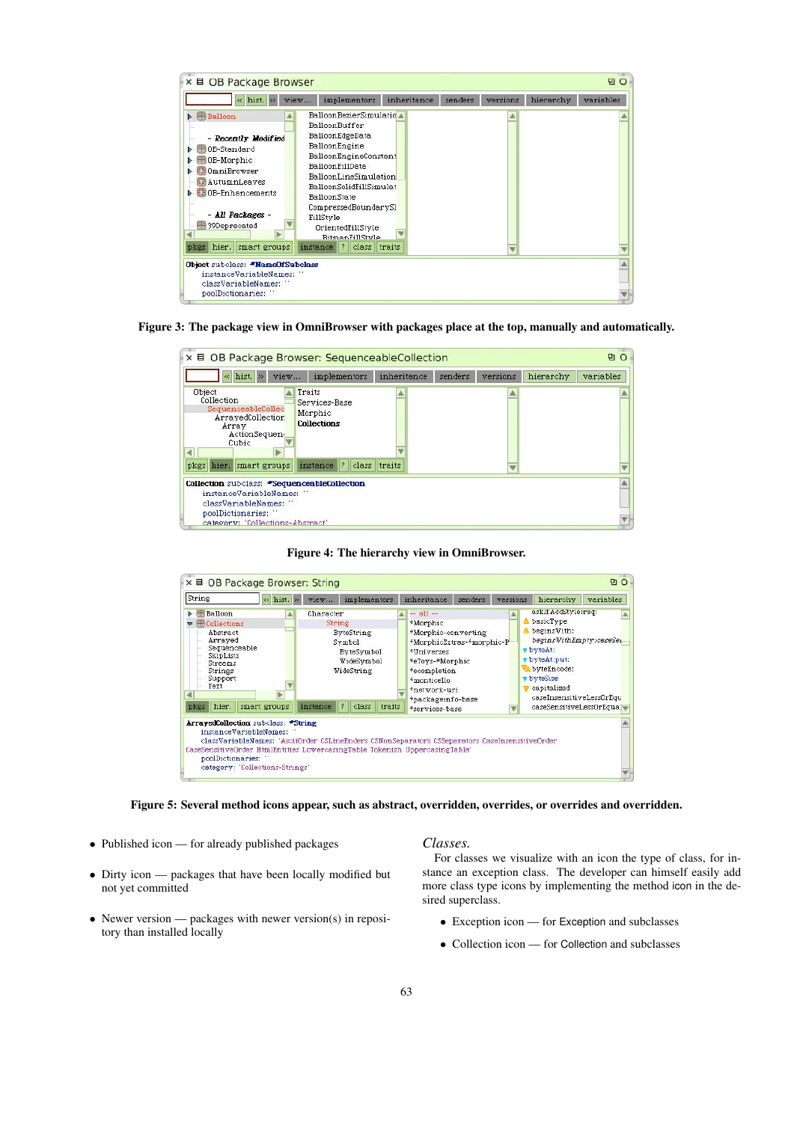| BalloonBezierSimulatio<br>$\triangleright$ $\vdash$ Balloon<br>BalloonBuffer<br>BalloonEdgeData<br>- Recently Modified<br>BalloonEngine<br>OB-Standard<br>BalloonEngineConstant<br>OB-Morphic<br>BalloonFillData<br><b>CommiBrowser</b><br>BalloonLineSimulation<br><b>AutumnLeaves</b><br>BalloonSolidFillSimulat<br><b>EF</b> OB-Enhancements<br>BalloonState<br>CompressedBoundarySh<br>- All Packages -<br>FillStyle<br>39Deprecated<br>OrientedFillStyle<br><b>BitmanFillStyle</b><br>hier. smart groups<br>instance ? class traits<br>pkgs<br>Object subclass: *NameOfSubclass<br>instanceVariableNames:<br>classVariableNames: " | hist. >><br>$\leq$ | <i>implementors</i><br>view | inheritance | senders | versions | hierarchy | variables |
|-----------------------------------------------------------------------------------------------------------------------------------------------------------------------------------------------------------------------------------------------------------------------------------------------------------------------------------------------------------------------------------------------------------------------------------------------------------------------------------------------------------------------------------------------------------------------------------------------------------------------------------------|--------------------|-----------------------------|-------------|---------|----------|-----------|-----------|
|                                                                                                                                                                                                                                                                                                                                                                                                                                                                                                                                                                                                                                         |                    |                             |             |         |          |           |           |
|                                                                                                                                                                                                                                                                                                                                                                                                                                                                                                                                                                                                                                         |                    |                             |             |         |          |           |           |

Figure 3: The package view in OmniBrowser with packages place at the top, manually and automatically.

| « hist. »<br>view                                                                                  | implementors                                             | inheritance  | senders | versions | hierarchy | variables |
|----------------------------------------------------------------------------------------------------|----------------------------------------------------------|--------------|---------|----------|-----------|-----------|
| Object<br>Collection<br>SequenceableCollec<br>ArrayedCollection<br>Array<br>ActionSequen-<br>Cubic | Traits<br>Services-Base<br>Morphic<br><b>Collections</b> |              |         |          |           |           |
| pkgs hier, smart groups                                                                            | instance ?                                               | class traits |         |          |           |           |
| Collection subclass: *SequenceableCollection<br>instanceVariableNames: "                           |                                                          |              |         |          |           |           |

Figure 4: The hierarchy view in OmniBrowser.

| String<br>« hist. »                                                                                                                                      |                                                        |  | <i>implementors</i><br>view                                            |                                                                                              |                    |        | inheritance                                                                                                                                                                      | senders                                                                                                                                                                       | versions | hierarchy<br>variables |  |                                                                                                                                                                                                  |  |  |  |  |
|----------------------------------------------------------------------------------------------------------------------------------------------------------|--------------------------------------------------------|--|------------------------------------------------------------------------|----------------------------------------------------------------------------------------------|--------------------|--------|----------------------------------------------------------------------------------------------------------------------------------------------------------------------------------|-------------------------------------------------------------------------------------------------------------------------------------------------------------------------------|----------|------------------------|--|--------------------------------------------------------------------------------------------------------------------------------------------------------------------------------------------------|--|--|--|--|
| $\blacktriangleright$ $\blacksquare$ Balloon<br>Collections<br>Abstract<br>Arrayed<br>Sequenceable<br>SkipLists<br>Streams<br>Strings<br>Support<br>Text |                                                        |  |                                                                        | Character<br>String<br><b>ByteString</b><br>Symbol<br>ByteSymbol<br>WideSymbol<br>WideString |                    |        | $-$ all $-$<br>*Morphic<br>*Morphic-converting<br>*MorphicExtras-*morphic-P<br>*Universes<br>*eToys-*Morphic<br>*ecompletion<br>*monticello<br>*network-uri<br>*packageinfo-base |                                                                                                                                                                               |          |                        |  | askifAddStyle:req:<br>basicType<br>begins With:<br>beginsWithEmpty:caseSer<br>v byteAt:<br>v byteAt:put:<br>byteEncode:<br><b>v</b> byteSize<br><b>v</b> capitalized<br>caseInsensitiveLessOrEqu |  |  |  |  |
| pkgs                                                                                                                                                     | hier.                                                  |  | smart groups                                                           | instance                                                                                     | $\hat{r}$<br>class | traits |                                                                                                                                                                                  | *services-base                                                                                                                                                                |          |                        |  | caseSensitiveLessOrEqual                                                                                                                                                                         |  |  |  |  |
|                                                                                                                                                          | poolDictionaries: "<br>category: 'Collections-Strings' |  | <b>ArrayedCollection</b> subclass: "String<br>instanceVariableNames: " |                                                                                              |                    |        |                                                                                                                                                                                  | classVariableNames: 'AsciiOrder CSLineEnders CSNonSeparators CSSeparators CaseInsensitiveOrder<br>CaseSensitiveOrder HtmlEntities LowercasingTable Tokenish UppercasingTable' |          |                        |  |                                                                                                                                                                                                  |  |  |  |  |

Figure 5: Several method icons appear, such as abstract, overridden, overrides, or overrides and overridden.

- Published icon for already published packages
- Dirty icon packages that have been locally modified but not yet committed
- Newer version packages with newer version(s) in repository than installed locally

### *Classes.*

For classes we visualize with an icon the type of class, for instance an exception class. The developer can himself easily add more class type icons by implementing the method icon in the desired superclass.

- Exception icon for Exception and subclasses
- Collection icon for Collection and subclasses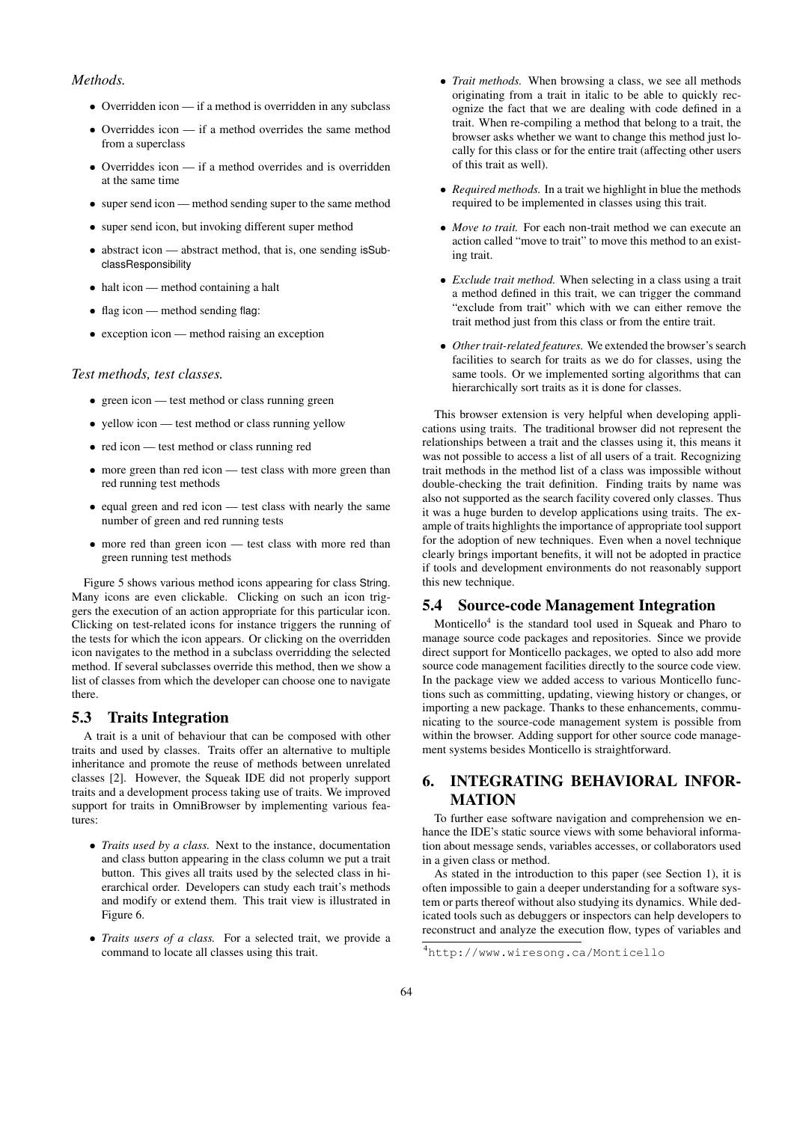## *Methods.*

- Overridden icon if a method is overridden in any subclass
- Overriddes icon if a method overrides the same method from a superclass
- Overriddes icon if a method overrides and is overridden at the same time
- super send icon method sending super to the same method
- super send icon, but invoking different super method
- abstract icon abstract method, that is, one sending isSubclassResponsibility
- halt icon method containing a halt
- flag icon method sending flag:
- exception icon method raising an exception

#### *Test methods, test classes.*

- green icon test method or class running green
- yellow icon test method or class running yellow
- red icon test method or class running red
- more green than red icon test class with more green than red running test methods
- equal green and red icon test class with nearly the same number of green and red running tests
- more red than green icon test class with more red than green running test methods

Figure 5 shows various method icons appearing for class String. Many icons are even clickable. Clicking on such an icon triggers the execution of an action appropriate for this particular icon. Clicking on test-related icons for instance triggers the running of the tests for which the icon appears. Or clicking on the overridden icon navigates to the method in a subclass overridding the selected method. If several subclasses override this method, then we show a list of classes from which the developer can choose one to navigate there.

#### 5.3 Traits Integration

A trait is a unit of behaviour that can be composed with other traits and used by classes. Traits offer an alternative to multiple inheritance and promote the reuse of methods between unrelated classes [2]. However, the Squeak IDE did not properly support traits and a development process taking use of traits. We improved support for traits in OmniBrowser by implementing various features:

- *Traits used by a class.* Next to the instance, documentation and class button appearing in the class column we put a trait button. This gives all traits used by the selected class in hierarchical order. Developers can study each trait's methods and modify or extend them. This trait view is illustrated in Figure 6.
- *Traits users of a class.* For a selected trait, we provide a command to locate all classes using this trait.
- *Trait methods.* When browsing a class, we see all methods originating from a trait in italic to be able to quickly recognize the fact that we are dealing with code defined in a trait. When re-compiling a method that belong to a trait, the browser asks whether we want to change this method just locally for this class or for the entire trait (affecting other users of this trait as well).
- *Required methods.* In a trait we highlight in blue the methods required to be implemented in classes using this trait.
- *Move to trait.* For each non-trait method we can execute an action called "move to trait" to move this method to an existing trait.
- *Exclude trait method.* When selecting in a class using a trait a method defined in this trait, we can trigger the command "exclude from trait" which with we can either remove the trait method just from this class or from the entire trait.
- *Other trait-related features.* We extended the browser's search facilities to search for traits as we do for classes, using the same tools. Or we implemented sorting algorithms that can hierarchically sort traits as it is done for classes.

This browser extension is very helpful when developing applications using traits. The traditional browser did not represent the relationships between a trait and the classes using it, this means it was not possible to access a list of all users of a trait. Recognizing trait methods in the method list of a class was impossible without double-checking the trait definition. Finding traits by name was also not supported as the search facility covered only classes. Thus it was a huge burden to develop applications using traits. The example of traits highlights the importance of appropriate tool support for the adoption of new techniques. Even when a novel technique clearly brings important benefits, it will not be adopted in practice if tools and development environments do not reasonably support this new technique.

#### 5.4 Source-code Management Integration

Monticello<sup>4</sup> is the standard tool used in Squeak and Pharo to manage source code packages and repositories. Since we provide direct support for Monticello packages, we opted to also add more source code management facilities directly to the source code view. In the package view we added access to various Monticello functions such as committing, updating, viewing history or changes, or importing a new package. Thanks to these enhancements, communicating to the source-code management system is possible from within the browser. Adding support for other source code management systems besides Monticello is straightforward.

# 6. INTEGRATING BEHAVIORAL INFOR-MATION

To further ease software navigation and comprehension we enhance the IDE's static source views with some behavioral information about message sends, variables accesses, or collaborators used in a given class or method.

As stated in the introduction to this paper (see Section 1), it is often impossible to gain a deeper understanding for a software system or parts thereof without also studying its dynamics. While dedicated tools such as debuggers or inspectors can help developers to reconstruct and analyze the execution flow, types of variables and

<sup>4</sup>http://www.wiresong.ca/Monticello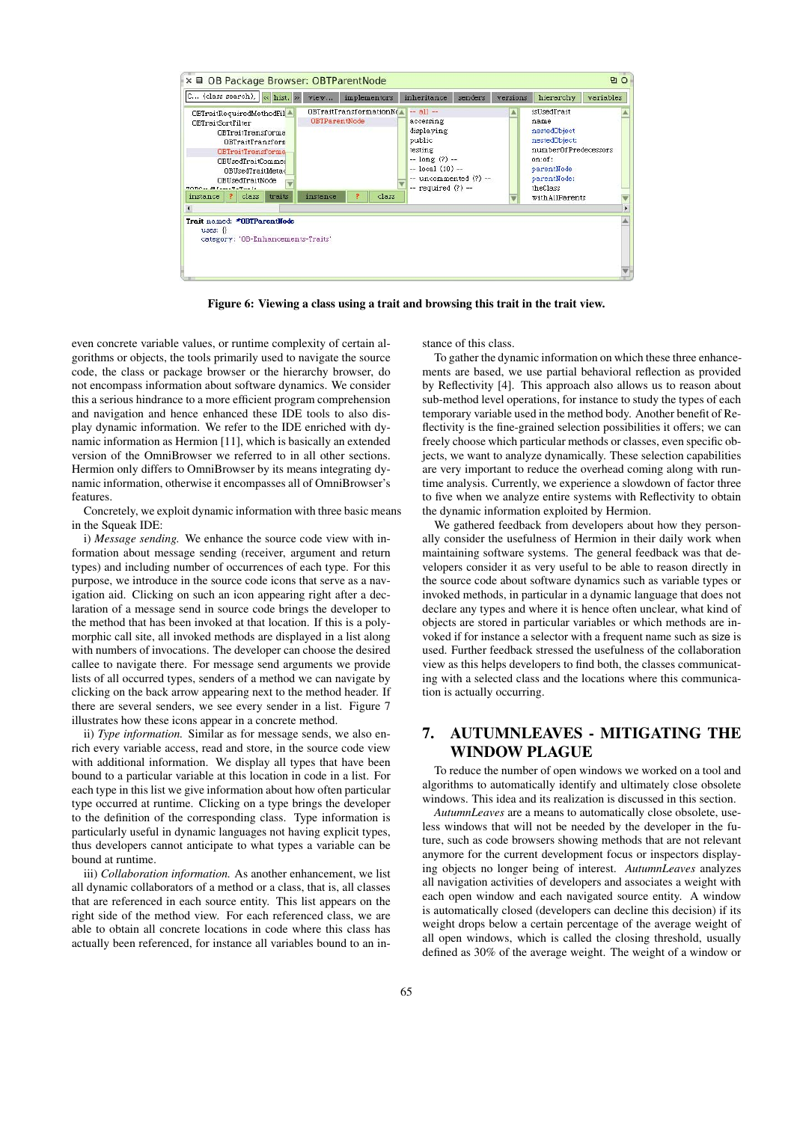

Figure 6: Viewing a class using a trait and browsing this trait in the trait view.

even concrete variable values, or runtime complexity of certain algorithms or objects, the tools primarily used to navigate the source code, the class or package browser or the hierarchy browser, do not encompass information about software dynamics. We consider this a serious hindrance to a more efficient program comprehension and navigation and hence enhanced these IDE tools to also display dynamic information. We refer to the IDE enriched with dynamic information as Hermion [11], which is basically an extended version of the OmniBrowser we referred to in all other sections. Hermion only differs to OmniBrowser by its means integrating dynamic information, otherwise it encompasses all of OmniBrowser's features.

Concretely, we exploit dynamic information with three basic means in the Squeak IDE:

i) *Message sending.* We enhance the source code view with information about message sending (receiver, argument and return types) and including number of occurrences of each type. For this purpose, we introduce in the source code icons that serve as a navigation aid. Clicking on such an icon appearing right after a declaration of a message send in source code brings the developer to the method that has been invoked at that location. If this is a polymorphic call site, all invoked methods are displayed in a list along with numbers of invocations. The developer can choose the desired callee to navigate there. For message send arguments we provide lists of all occurred types, senders of a method we can navigate by clicking on the back arrow appearing next to the method header. If there are several senders, we see every sender in a list. Figure 7 illustrates how these icons appear in a concrete method.

ii) *Type information.* Similar as for message sends, we also enrich every variable access, read and store, in the source code view with additional information. We display all types that have been bound to a particular variable at this location in code in a list. For each type in this list we give information about how often particular type occurred at runtime. Clicking on a type brings the developer to the definition of the corresponding class. Type information is particularly useful in dynamic languages not having explicit types, thus developers cannot anticipate to what types a variable can be bound at runtime.

iii) *Collaboration information.* As another enhancement, we list all dynamic collaborators of a method or a class, that is, all classes that are referenced in each source entity. This list appears on the right side of the method view. For each referenced class, we are able to obtain all concrete locations in code where this class has actually been referenced, for instance all variables bound to an instance of this class.

To gather the dynamic information on which these three enhancements are based, we use partial behavioral reflection as provided by Reflectivity [4]. This approach also allows us to reason about sub-method level operations, for instance to study the types of each temporary variable used in the method body. Another benefit of Reflectivity is the fine-grained selection possibilities it offers; we can freely choose which particular methods or classes, even specific objects, we want to analyze dynamically. These selection capabilities are very important to reduce the overhead coming along with runtime analysis. Currently, we experience a slowdown of factor three to five when we analyze entire systems with Reflectivity to obtain the dynamic information exploited by Hermion.

We gathered feedback from developers about how they personally consider the usefulness of Hermion in their daily work when maintaining software systems. The general feedback was that developers consider it as very useful to be able to reason directly in the source code about software dynamics such as variable types or invoked methods, in particular in a dynamic language that does not declare any types and where it is hence often unclear, what kind of objects are stored in particular variables or which methods are invoked if for instance a selector with a frequent name such as size is used. Further feedback stressed the usefulness of the collaboration view as this helps developers to find both, the classes communicating with a selected class and the locations where this communication is actually occurring.

# 7. AUTUMNLEAVES - MITIGATING THE WINDOW PLAGUE

To reduce the number of open windows we worked on a tool and algorithms to automatically identify and ultimately close obsolete windows. This idea and its realization is discussed in this section.

*AutumnLeaves* are a means to automatically close obsolete, useless windows that will not be needed by the developer in the future, such as code browsers showing methods that are not relevant anymore for the current development focus or inspectors displaying objects no longer being of interest. *AutumnLeaves* analyzes all navigation activities of developers and associates a weight with each open window and each navigated source entity. A window is automatically closed (developers can decline this decision) if its weight drops below a certain percentage of the average weight of all open windows, which is called the closing threshold, usually defined as 30% of the average weight. The weight of a window or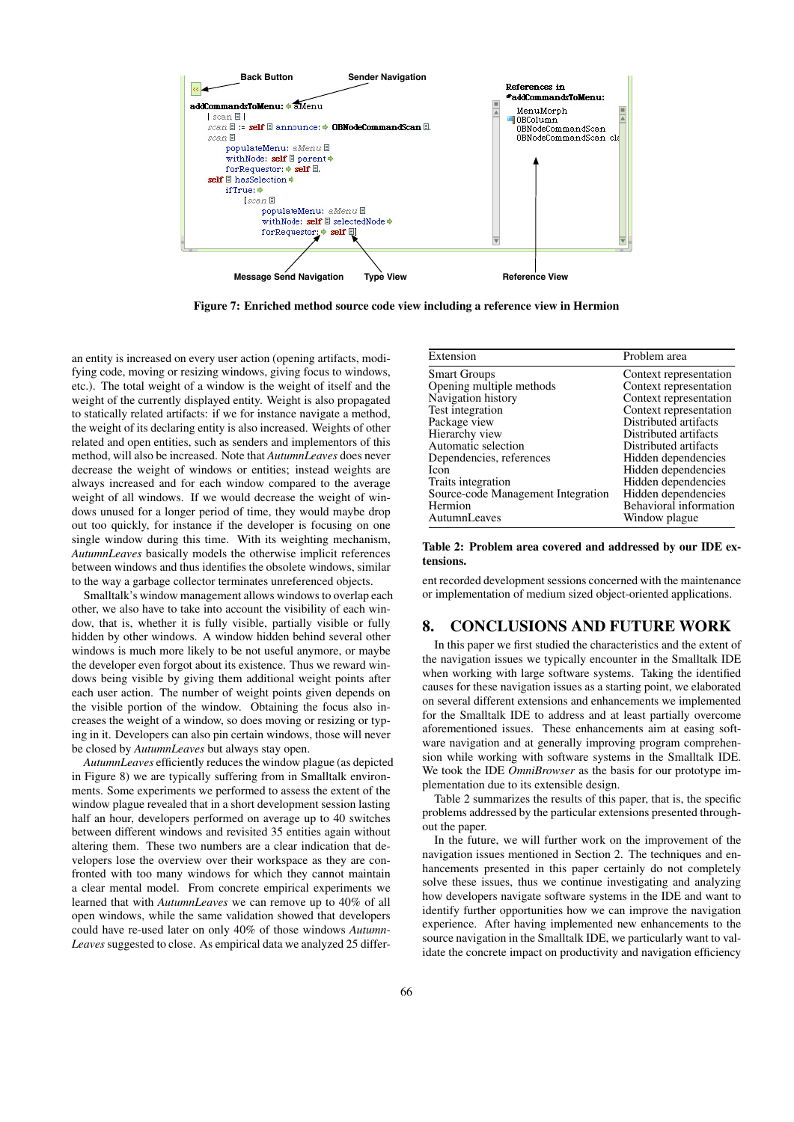

Figure 7: Enriched method source code view including a reference view in Hermion

an entity is increased on every user action (opening artifacts, modifying code, moving or resizing windows, giving focus to windows, etc.). The total weight of a window is the weight of itself and the weight of the currently displayed entity. Weight is also propagated to statically related artifacts: if we for instance navigate a method, the weight of its declaring entity is also increased. Weights of other related and open entities, such as senders and implementors of this method, will also be increased. Note that *AutumnLeaves* does never decrease the weight of windows or entities; instead weights are always increased and for each window compared to the average weight of all windows. If we would decrease the weight of windows unused for a longer period of time, they would maybe drop out too quickly, for instance if the developer is focusing on one single window during this time. With its weighting mechanism, *AutumnLeaves* basically models the otherwise implicit references between windows and thus identifies the obsolete windows, similar to the way a garbage collector terminates unreferenced objects.

Smalltalk's window management allows windows to overlap each other, we also have to take into account the visibility of each window, that is, whether it is fully visible, partially visible or fully hidden by other windows. A window hidden behind several other windows is much more likely to be not useful anymore, or maybe the developer even forgot about its existence. Thus we reward windows being visible by giving them additional weight points after each user action. The number of weight points given depends on the visible portion of the window. Obtaining the focus also increases the weight of a window, so does moving or resizing or typing in it. Developers can also pin certain windows, those will never be closed by *AutumnLeaves* but always stay open.

*AutumnLeaves* efficiently reduces the window plague (as depicted in Figure 8) we are typically suffering from in Smalltalk environments. Some experiments we performed to assess the extent of the window plague revealed that in a short development session lasting half an hour, developers performed on average up to 40 switches between different windows and revisited 35 entities again without altering them. These two numbers are a clear indication that developers lose the overview over their workspace as they are confronted with too many windows for which they cannot maintain a clear mental model. From concrete empirical experiments we learned that with *AutumnLeaves* we can remove up to 40% of all open windows, while the same validation showed that developers could have re-used later on only 40% of those windows *Autumn-Leaves* suggested to close. As empirical data we analyzed 25 differ-

| Extension                          | Problem area           |
|------------------------------------|------------------------|
| <b>Smart Groups</b>                | Context representation |
| Opening multiple methods           | Context representation |
| Navigation history                 | Context representation |
| Test integration                   | Context representation |
| Package view                       | Distributed artifacts  |
| Hierarchy view                     | Distributed artifacts  |
| Automatic selection                | Distributed artifacts  |
| Dependencies, references           | Hidden dependencies    |
| <b>Icon</b>                        | Hidden dependencies    |
| Traits integration                 | Hidden dependencies    |
| Source-code Management Integration | Hidden dependencies    |
| Hermion                            | Behavioral information |
| AutumnLeaves                       | Window plague          |

Table 2: Problem area covered and addressed by our IDE extensions.

ent recorded development sessions concerned with the maintenance or implementation of medium sized object-oriented applications.

### 8. CONCLUSIONS AND FUTURE WORK

In this paper we first studied the characteristics and the extent of the navigation issues we typically encounter in the Smalltalk IDE when working with large software systems. Taking the identified causes for these navigation issues as a starting point, we elaborated on several different extensions and enhancements we implemented for the Smalltalk IDE to address and at least partially overcome aforementioned issues. These enhancements aim at easing software navigation and at generally improving program comprehension while working with software systems in the Smalltalk IDE. We took the IDE *OmniBrowser* as the basis for our prototype implementation due to its extensible design.

Table 2 summarizes the results of this paper, that is, the specific problems addressed by the particular extensions presented throughout the paper.

In the future, we will further work on the improvement of the navigation issues mentioned in Section 2. The techniques and enhancements presented in this paper certainly do not completely solve these issues, thus we continue investigating and analyzing how developers navigate software systems in the IDE and want to identify further opportunities how we can improve the navigation experience. After having implemented new enhancements to the source navigation in the Smalltalk IDE, we particularly want to validate the concrete impact on productivity and navigation efficiency